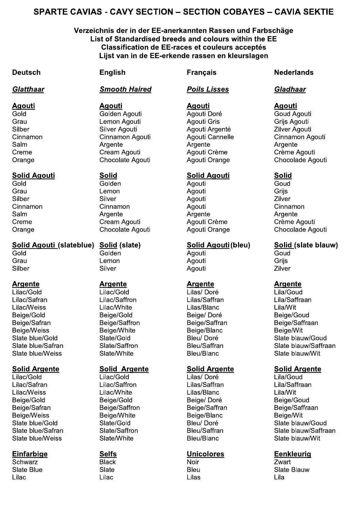# SPARTE CAVIAS - CAVY SECTION – SECTION COBAYES – CAVIA SEKTIE

# Verzeichnis der in der EE-anerkannten Rassen und Farbschäge List of Standardised breeds and colours within the EE Classification de EE-races et couleurs acceptés S - CAVY SECTION – SECTION COBAYES – CAVIA SEKT<br>
hnis der in der EE-anerkannten Rassen und Farbschäge<br>
st of Standardised breeds and colours within the EE<br>
Classification de EE-races et couleurs acceptés<br>
Lijst van in de E Lijst van in de EE-erkende rassen en kleurslagen

>

# Agouti Ad

### **Solid Agouti**

# Solid Agouti (slateblue) Solid (slate) Solid Agouth Solid Agout

# Argente Ar

 $\overline{\text{Lilac/Gold}}$   $\overline{\text{Lilac/Gold}}$   $\overline{\text{Lilas/Dor\'e}}$   $\overline{\text{Lila/Goud}}$ Lilac/Safran Lilac/Saffron Lilas/Saffran Lila/Saffraan NIAMZ]\_CIPP> > > NIAMZ]\_YIHC> > > NIAMP]`AMDZ> > > NIAM]\_IH> `CIFC]?@AB> > > `CIFC]?@AB> > > `CIFC]>J@KL> > > `CIFC]?@GB>  $Beiae/Safran$   $Beiae/Saffron$  Beige/Saffron  $Beiae/Safran$  $\overline{Be}$ ige/Weiss  $\overline{Be}$ ige/White  $\overline{Be}$ ige/White  $\overline{Be}$ ige/Weiss  $\overline{Be}$ ige/Wit Slate blue/Weiss Slate/White Bleu/Blanc Slate blauw/Wit

# **Solid Argente**

 $\overline{\text{Lilac/Gold}}$   $\overline{\text{Lilac/Gold}}$   $\overline{\text{Lilas/Dor\'e}}$   $\overline{\text{Lila/Goud}}$ Lilac/Safran Lilac/Saffron Lilas/Saffran Lila/Saffraan NIAMZ]\_CIPP> > > NIAMZ]\_YIHC> > > NIAMP]`AMDZ> > > NIAM]\_IH> `CIFC]?@AB> > > `CIFC]?@AB> > > `CIFC]>J@KL> > > `CIFC]?@GB>  $Beige/Sa$ fran Beige/Saffron Beige/Saffran Beige/Saffraan `CIFC]\_CIPP>> > `CIFC]\_YIHC>> > `CIFC]`AMDZ> > > `CIFC]\_IH> Sate blue/Weiss and Slate/White blauw/With black blauw/With Bleu/Blanc and Slate blauw/With  $\overline{\phantom{a}}$ 

RZYaMKc> > > `AMZd>> > > e@IK> > > > UaMKH> NIAMZ> > > > NIAMZ> > > > NIAMP> > > > NIAM>

**Agouti** Pold Colden Agouti **Agouti Doré** Coud Agouti Prau Company - Company - Lemon Agouti - Company - Agouti Gris - Company - Grijs Agouti RIASCK>> > > RIATCK>EF@GHI>> > EF@GHI>EKFCDHL> > UIATCK>EF@GHI> Cinnamon Cinnamon Agouti Agouti Cannelle Cinnamon Agouti RMAO>> > > EKFCDHC> > > EKFCDHC> > > EKFCDHC> Creme Cream Agouti Agoutic Prème Crème Agouti Orange Chocolate Agouti Agoutic Drange Chocolade Agouti

?@AB>> > > ?@ABCD> > > EF@GHI>> > > ?@GB>>  $\mathsf{Grau}$  . The set of the set of the set of the set of the set of the set of the set of the set of the set of the set of the set of the set of the set of the set of the set of the set of the set of the set of the set of RIASCK>> > > RIATCK>> > > EF@GHI>> > > UIATCK>> VIDDMO@D> > > VIDDMO@D> > > EF@GHI>> > > VIDDMO@D>> RMAO>> > > EKFCDHC> > > EKFCDHC> > > EKFCDHC> VKCOC>> > > VKCMO>EF@GHI>> > EF@GHI>VKWOC>> > VKWOC>EF@GHI>

?@AB>> > > ?@ABCD> > > EF@GHI>> > > ?@GB>>  $\mathsf{Grau} \hspace{1.5cm} \mathsf{Crau} \hspace{1.5cm} \mathsf{Griis}$ RIASCK>> > > RIATCK>> > > EF@GHI>> > > UIATCK>>

# **Argente**

# Solid Argente

### <u>Clatthaar Smooth Haired Poils Lisses Cladhaar</u>

### **Agouti**

# !# #% #%-!# #%

# **Argente**

### **Solid Argente**

# Deutsch English Français Nederlands

# **Agouti**

Orange Chocolate Agouti Agouti Crange Chocolade Agouti

# Solid Agouti(bleu) Solid (slate blauw)

# **Argente**

Saate blue/Gold Slate/Gold Bleu/ Doré Slate blauw/Goud Ramam Ramam Samus State/Saffron **Bleu/Saffran** Bleu/Saffran Slate blauw/Saffraan

# raente Solid Araente

RAMHC>SAGC]?@AB> > RAMHC]?@AB> > > `ACG]>J@KL> > > RAMHC>SAMGa]?@GB> Ramam Ramam Samus State/Saffron **Bleu/Saffran** Bleu/Saffran Slate blauw/Saffraan

# Einfarbige Selfs Selfs **Disk Emmanuel Selfs** Eenkleurig

RAMHC>`AGC> > > RAMHC>> > > `ACG> > > > RAMHC>`AMGa>